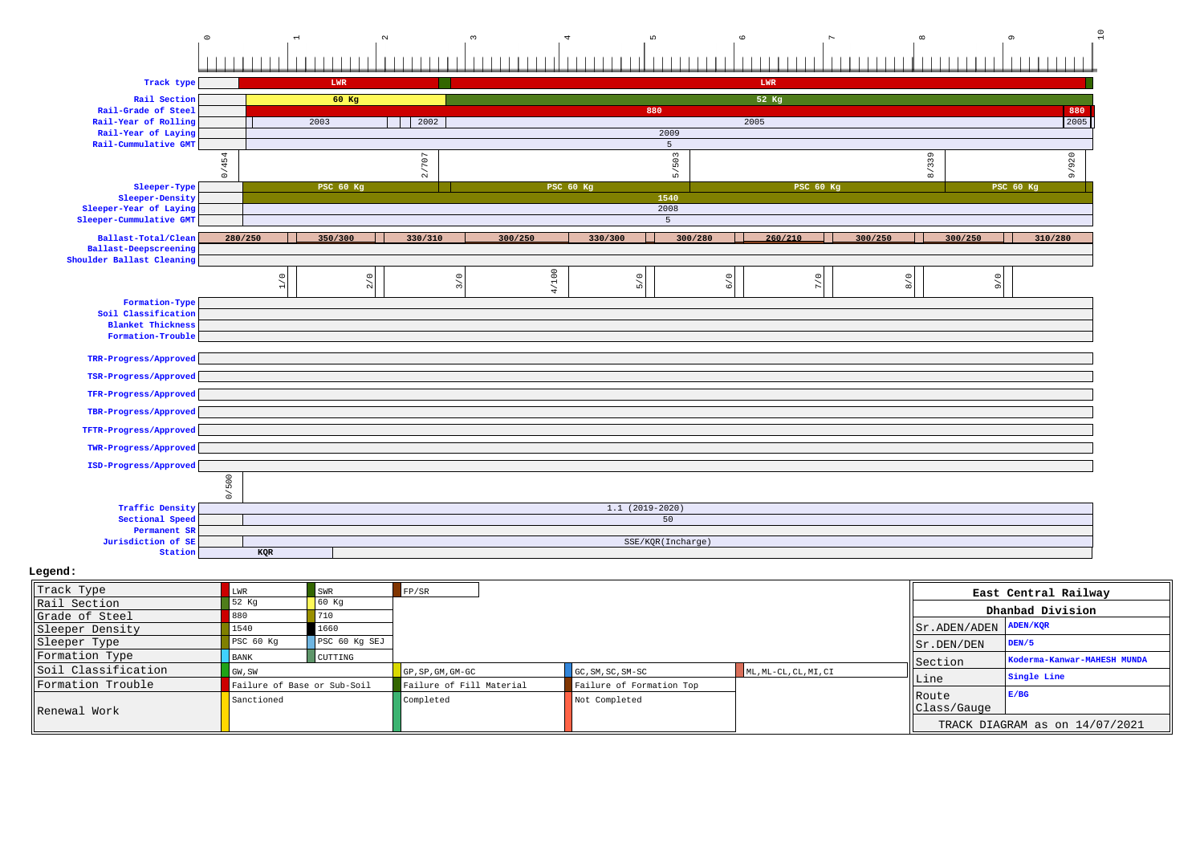# 0123456789 10

| Track type                                  |         |                | LWR              |         |                  |                     |                   | LWR              |         |                  |         |
|---------------------------------------------|---------|----------------|------------------|---------|------------------|---------------------|-------------------|------------------|---------|------------------|---------|
| Rail Section                                |         |                | 60 Kg            |         |                  |                     |                   | 52 Kg            |         |                  |         |
| Rail-Grade of Steel                         |         |                |                  |         |                  | 880                 |                   |                  |         |                  | 880     |
| Rail-Year of Rolling                        |         |                | 2003             | 2002    |                  |                     |                   | 2005             |         |                  | 2005    |
| Rail-Year of Laying<br>Rail-Cummulative GMT |         |                |                  |         |                  |                     | 2009              |                  |         |                  |         |
|                                             |         |                |                  |         |                  |                     | 5                 |                  |         |                  |         |
|                                             | 0/454   |                |                  | 2/707   |                  |                     | 5/503             |                  | 8/339   |                  | 9/920   |
| Sleeper-Type                                |         |                | <b>PSC 60 Kg</b> |         | <b>PSC 60 Kg</b> |                     |                   | <b>PSC 60 Kg</b> |         | <b>PSC 60 Kg</b> |         |
| Sleeper-Density                             |         |                |                  |         |                  |                     | 1540              |                  |         |                  |         |
| Sleeper-Year of Laying                      |         |                |                  |         |                  |                     | 2008              |                  |         |                  |         |
| Sleeper-Cummulative GMT                     |         |                |                  |         |                  |                     | 5                 |                  |         |                  |         |
| Ballast-Total/Clean                         | 280/250 |                | 350/300          | 330/310 | 300/250          | 330/300             | 300/280           | 260/210          | 300/250 | 300/250          | 310/280 |
| Ballast-Deepscreening                       |         |                |                  |         |                  |                     |                   |                  |         |                  |         |
| Shoulder Ballast Cleaning                   |         |                |                  |         |                  |                     |                   |                  |         |                  |         |
|                                             |         | $\leq$         | 2/0              | $\circ$ | 4/100            | $\circ$             | $6/0$             | $7/0$            | 8/0     | 9/6              |         |
|                                             |         | $\overline{a}$ |                  | $\sim$  |                  | $\mathsf{L} \Omega$ |                   |                  |         |                  |         |
| Formation-Type                              |         |                |                  |         |                  |                     |                   |                  |         |                  |         |
| Soil Classification                         |         |                |                  |         |                  |                     |                   |                  |         |                  |         |
| <b>Blanket Thickness</b>                    |         |                |                  |         |                  |                     |                   |                  |         |                  |         |
| Formation-Trouble                           |         |                |                  |         |                  |                     |                   |                  |         |                  |         |
| TRR-Progress/Approved                       |         |                |                  |         |                  |                     |                   |                  |         |                  |         |
| TSR-Progress/Approved                       |         |                |                  |         |                  |                     |                   |                  |         |                  |         |
| TFR-Progress/Approved                       |         |                |                  |         |                  |                     |                   |                  |         |                  |         |
| TBR-Progress/Approved                       |         |                |                  |         |                  |                     |                   |                  |         |                  |         |
| TFTR-Progress/Approved                      |         |                |                  |         |                  |                     |                   |                  |         |                  |         |
| TWR-Progress/Approved                       |         |                |                  |         |                  |                     |                   |                  |         |                  |         |
| ISD-Progress/Approved                       |         |                |                  |         |                  |                     |                   |                  |         |                  |         |
|                                             | 0/500   |                |                  |         |                  |                     |                   |                  |         |                  |         |
| <b>Traffic Density</b>                      |         |                |                  |         |                  | $1.1(2019-2020)$    |                   |                  |         |                  |         |
| Sectional Speed                             |         |                |                  |         |                  |                     | 50                |                  |         |                  |         |
| Permanent SR                                |         |                |                  |         |                  |                     |                   |                  |         |                  |         |
| Jurisdiction of SE                          |         |                |                  |         |                  |                     | SSE/KQR(Incharge) |                  |         |                  |         |
| Station                                     |         | KQR            |                  |         |                  |                     |                   |                  |         |                  |         |

| Track Type          |                             | <b>SWR</b>    | FP/SR                    |                          |                       |                                     | East Central Railway           |
|---------------------|-----------------------------|---------------|--------------------------|--------------------------|-----------------------|-------------------------------------|--------------------------------|
| Rail Section        | 52 Kg                       |               |                          |                          |                       |                                     | Dhanbad Division               |
| Grade of Steel      |                             | 710           |                          |                          |                       |                                     |                                |
| Sleeper Density     | L540                        | 1660          |                          |                          |                       | $ Sr $ . ADEN / ADEN $ $ ADEN / KQR |                                |
| Sleeper Type        | PSC 60 Kg                   | PSC 60 Kg SEJ |                          |                          |                       | $  $ Sr. DEN/DEN                    | DEN/5                          |
| Formation Type      | <b>BANK</b>                 | CUTTING       |                          |                          |                       | Section                             | Koderma-Kanwar-MAHESH MUNDA    |
| Soil Classification | GW, SW                      |               | GP, SP, GM, GM-GC        | GC, SM, SC, SM-SC        | ML, ML-CL, CL, MI, CI |                                     | Single Line                    |
| Formation Trouble   | Failure of Base or Sub-Soil |               | Failure of Fill Material | Failure of Formation Top |                       | lLine                               |                                |
| Renewal Work        | Sanctioned                  |               | Completed                | Not Completed            |                       | <b>IRoute</b><br>Class/Gauge        | E/BG                           |
|                     |                             |               |                          |                          |                       |                                     | TRACK DIAGRAM as on 14/07/2021 |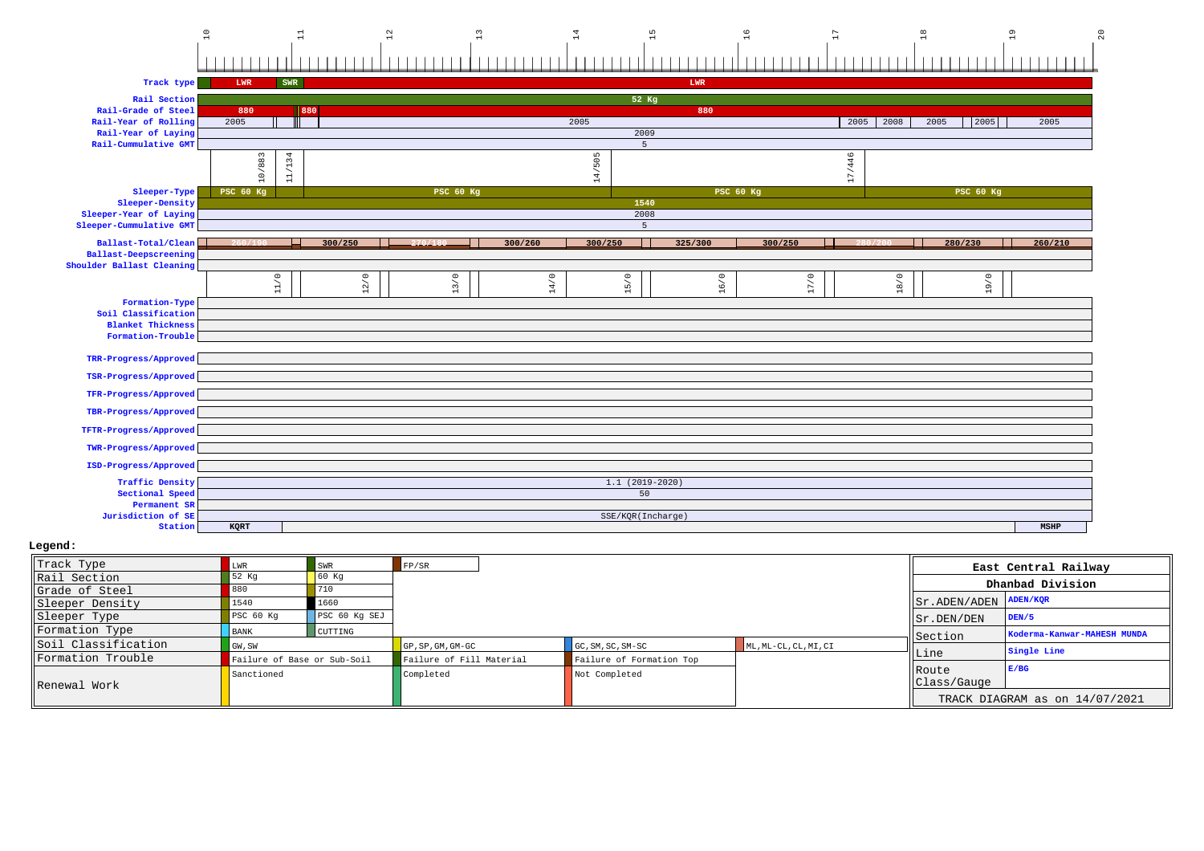$\frac{1}{2}$ 

| Track type                         | LWR<br>- 1       | SWR           |                      |                  |         |                   | LWR              |         |              |                  |         |
|------------------------------------|------------------|---------------|----------------------|------------------|---------|-------------------|------------------|---------|--------------|------------------|---------|
| Rail Section                       |                  |               |                      |                  |         | $52$ Kg           |                  |         |              |                  |         |
| Rail-Grade of Steel                | 880              |               | 880                  |                  |         |                   | 880              |         |              |                  |         |
| Rail-Year of Rolling               | 2005             |               |                      |                  |         | 2005              |                  |         | 2005<br>2008 | 2005<br>2005     | 2005    |
| Rail-Year of Laying                |                  |               |                      |                  |         | 2009              |                  |         |              |                  |         |
| Rail-Cummulative GMT               |                  |               |                      |                  |         | $5\overline{5}$   |                  |         |              |                  |         |
|                                    | 10/883           | 1/134         |                      |                  |         | 14/505            |                  |         | 17/446       |                  |         |
|                                    |                  |               |                      |                  |         |                   |                  |         |              |                  |         |
| Sleeper-Type                       | <b>PSC 60 Kg</b> | $\rightarrow$ |                      | <b>PSC 60 Kg</b> |         |                   | <b>PSC 60 Kg</b> |         |              | <b>PSC 60 Kg</b> |         |
| Sleeper-Density                    |                  |               |                      |                  |         | 1540              |                  |         |              |                  |         |
| Sleeper-Year of Laying             |                  |               |                      |                  |         | 2008              |                  |         |              |                  |         |
| Sleeper-Cummulative GMT            |                  |               |                      |                  |         | $5^{\circ}$       |                  |         |              |                  |         |
| Ballast-Total/Clean                |                  |               | 300/250              | 270/180          | 300/260 | 300/250           | 325/300          | 300/250 | 280/200      | 280/230          | 260/210 |
| <b>Ballast-Deepscreening</b>       |                  |               |                      |                  |         |                   |                  |         |              |                  |         |
| Shoulder Ballast Cleaning          |                  |               |                      |                  |         |                   |                  |         |              |                  |         |
|                                    |                  |               |                      |                  |         |                   |                  |         |              |                  |         |
|                                    |                  | $11/0$        | 2/0<br>$\rightarrow$ | 13/0             | 14/0    | $15/0$            | 16/0             | 17/0    | 18/0         | 19/0             |         |
| Formation-Type                     |                  |               |                      |                  |         |                   |                  |         |              |                  |         |
| Soil Classification                |                  |               |                      |                  |         |                   |                  |         |              |                  |         |
| <b>Blanket Thickness</b>           |                  |               |                      |                  |         |                   |                  |         |              |                  |         |
| Formation-Trouble                  |                  |               |                      |                  |         |                   |                  |         |              |                  |         |
| TRR-Progress/Approved              |                  |               |                      |                  |         |                   |                  |         |              |                  |         |
|                                    |                  |               |                      |                  |         |                   |                  |         |              |                  |         |
| TSR-Progress/Approved              |                  |               |                      |                  |         |                   |                  |         |              |                  |         |
| TFR-Progress/Approved              |                  |               |                      |                  |         |                   |                  |         |              |                  |         |
| TBR-Progress/Approved              |                  |               |                      |                  |         |                   |                  |         |              |                  |         |
|                                    |                  |               |                      |                  |         |                   |                  |         |              |                  |         |
| TFTR-Progress/Approved             |                  |               |                      |                  |         |                   |                  |         |              |                  |         |
| TWR-Progress/Approved              |                  |               |                      |                  |         |                   |                  |         |              |                  |         |
|                                    |                  |               |                      |                  |         |                   |                  |         |              |                  |         |
| ISD-Progress/Approved              |                  |               |                      |                  |         |                   |                  |         |              |                  |         |
| <b>Traffic Density</b>             |                  |               |                      |                  |         | $1.1(2019-2020)$  |                  |         |              |                  |         |
| Sectional Speed                    |                  |               |                      |                  |         | 50                |                  |         |              |                  |         |
| Permanent SR<br>Jurisdiction of SE |                  |               |                      |                  |         | SSE/KQR(Incharge) |                  |         |              |                  |         |
| Station                            | KQRT             |               |                      |                  |         |                   |                  |         |              |                  | MSHP    |
|                                    |                  |               |                      |                  |         |                   |                  |         |              |                  |         |

| Track Type          |                             | SWR           | FP/SR                    |                          |                       |                                 | East Central Railway           |
|---------------------|-----------------------------|---------------|--------------------------|--------------------------|-----------------------|---------------------------------|--------------------------------|
| Rail Section        | 52 Kg                       | 60 Kq         |                          |                          |                       |                                 | Dhanbad Division               |
| Grade of Steel      |                             | 710           |                          |                          |                       |                                 |                                |
| Sleeper Density     | 1540                        | 1660          |                          |                          |                       | $ Sr $ . ADEN/ADEN $ $ ADEN/KOR |                                |
| Sleeper Type        | PSC <sub>60 Kq</sub>        | PSC 60 Kg SEJ |                          |                          |                       | $\vert$ Sr. DEN/DEN             | DEN/5                          |
| Formation Type      | <b>BANK</b>                 | CUTTING       |                          |                          |                       | Section                         | Koderma-Kanwar-MAHESH MUNDA    |
| Soil Classification | GW, SW                      |               | GP, SP, GM, GM-GC        | GC, SM, SC, SM-SC        | ML, ML-CL, CL, MI, CI |                                 | Single Line                    |
| Formation Trouble   | Failure of Base or Sub-Soil |               | Failure of Fill Material | Failure of Formation Top |                       | Line                            |                                |
| Renewal Work        | Sanctioned                  |               | Completed                | Not Completed            |                       | Route<br>Class/Gauge            | E/BC                           |
|                     |                             |               |                          |                          |                       |                                 | TRACK DIAGRAM as on 14/07/2021 |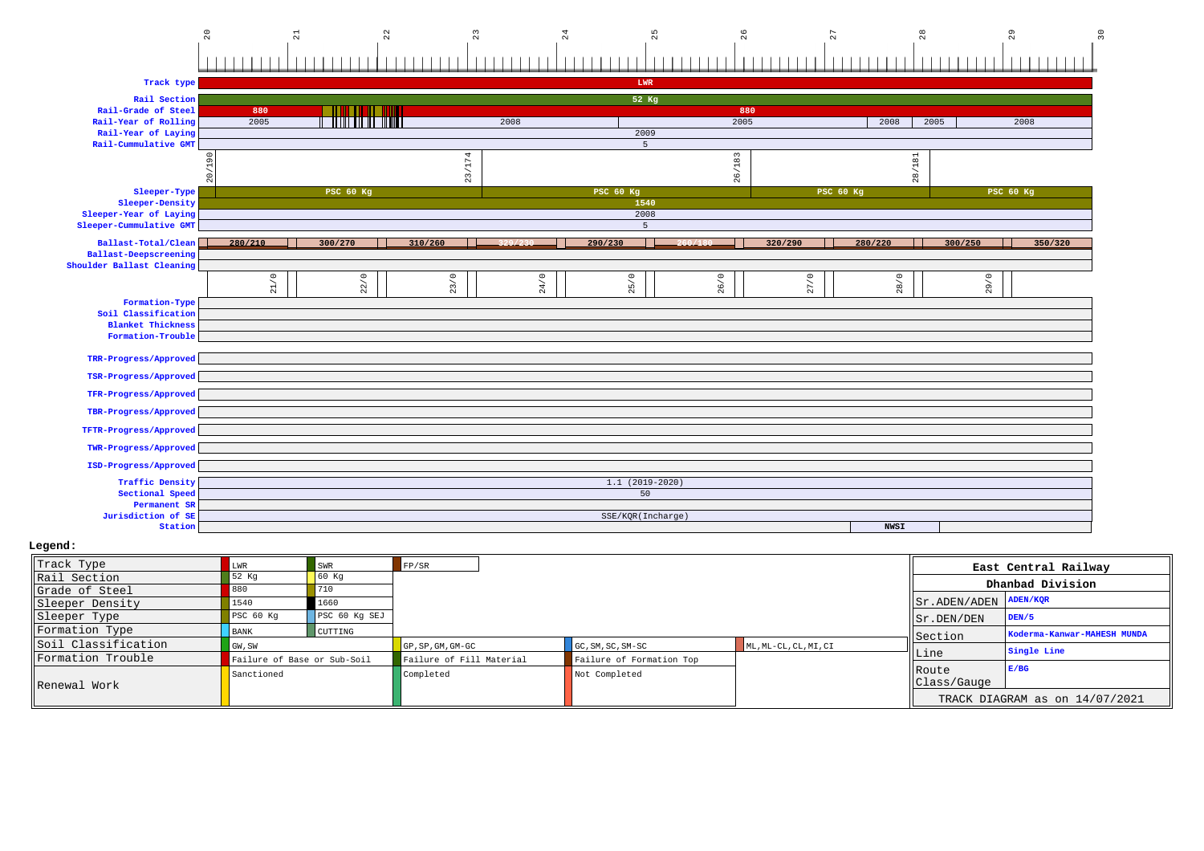

| Track type                            |                |                                       |         |         | LWR               |         |                  |              |                  |         |
|---------------------------------------|----------------|---------------------------------------|---------|---------|-------------------|---------|------------------|--------------|------------------|---------|
| Rail Section                          |                |                                       |         |         | 52 Kg             |         |                  |              |                  |         |
| Rail-Grade of Steel                   | 880            |                                       |         |         |                   | 880     |                  |              |                  |         |
| Rail-Year of Rolling                  | 2005           | <b>THE REAL PROPERTY OF STATISTIC</b> |         | 2008    |                   | 2005    |                  | 2008<br>2005 |                  | 2008    |
| Rail-Year of Laying                   |                |                                       |         |         | 2009              |         |                  |              |                  |         |
| Rail-Cummulative GMT                  |                |                                       |         |         | -5                |         |                  |              |                  |         |
|                                       | $\overline{6}$ |                                       | 174     |         |                   | 26/183  |                  | 28/181       |                  |         |
|                                       | $\circ$        |                                       | 23/     |         |                   |         |                  |              |                  |         |
|                                       | $\sim$         |                                       |         |         |                   |         |                  |              |                  |         |
| Sleeper-Type<br>Sleeper-Density       |                | <b>PSC 60 Kg</b>                      |         |         | <b>PSC 60 Kg</b>  |         | <b>PSC 60 Kg</b> |              | <b>PSC 60 Kg</b> |         |
| Sleeper-Year of Laying                |                |                                       |         |         | 1540<br>2008      |         |                  |              |                  |         |
| Sleeper-Cummulative GMT               |                |                                       |         |         | 5                 |         |                  |              |                  |         |
|                                       |                |                                       |         |         |                   |         |                  |              |                  |         |
| Ballast-Total/Clean                   | 280/210        | 300/270                               | 310/260 | 329/230 | 290/230           | 260/180 | 320/290          | 280/220      | 300/250          | 350/320 |
| <b>Ballast-Deepscreening</b>          |                |                                       |         |         |                   |         |                  |              |                  |         |
| Shoulder Ballast Cleaning             |                |                                       |         |         |                   |         |                  |              |                  |         |
|                                       | 21/0           | 22/0                                  | 23/0    | 24/0    | 25/0              | 26/0    | 27/0             | 28/0         | 29/0             |         |
|                                       |                |                                       |         |         |                   |         |                  |              |                  |         |
| Formation-Type<br>Soil Classification |                |                                       |         |         |                   |         |                  |              |                  |         |
| <b>Blanket Thickness</b>              |                |                                       |         |         |                   |         |                  |              |                  |         |
| Formation-Trouble                     |                |                                       |         |         |                   |         |                  |              |                  |         |
|                                       |                |                                       |         |         |                   |         |                  |              |                  |         |
| TRR-Progress/Approved                 |                |                                       |         |         |                   |         |                  |              |                  |         |
| TSR-Progress/Approved                 |                |                                       |         |         |                   |         |                  |              |                  |         |
|                                       |                |                                       |         |         |                   |         |                  |              |                  |         |
| TFR-Progress/Approved                 |                |                                       |         |         |                   |         |                  |              |                  |         |
| TBR-Progress/Approved                 |                |                                       |         |         |                   |         |                  |              |                  |         |
|                                       |                |                                       |         |         |                   |         |                  |              |                  |         |
| TFTR-Progress/Approved                |                |                                       |         |         |                   |         |                  |              |                  |         |
| TWR-Progress/Approved                 |                |                                       |         |         |                   |         |                  |              |                  |         |
| ISD-Progress/Approved                 |                |                                       |         |         |                   |         |                  |              |                  |         |
|                                       |                |                                       |         |         |                   |         |                  |              |                  |         |
| <b>Traffic Density</b>                |                |                                       |         |         | $1.1(2019-2020)$  |         |                  |              |                  |         |
| Sectional Speed                       |                |                                       |         |         | 50                |         |                  |              |                  |         |
| Permanent SR                          |                |                                       |         |         |                   |         |                  |              |                  |         |
| Jurisdiction of SE<br>Station         |                |                                       |         |         | SSE/KQR(Incharge) |         |                  | <b>NWSI</b>  |                  |         |
|                                       |                |                                       |         |         |                   |         |                  |              |                  |         |

| Track Type          | LWR                         | SWR           | FP/SR                    |                          |                       |                                 | East Central Railway           |
|---------------------|-----------------------------|---------------|--------------------------|--------------------------|-----------------------|---------------------------------|--------------------------------|
| Rail Section        | 52 Kg                       | 60 Kq         |                          |                          |                       |                                 | Dhanbad Division               |
| Grade of Steel      |                             | 710           |                          |                          |                       |                                 |                                |
| Sleeper Density     | 1540                        | 1660          |                          |                          |                       | $ Sr $ . ADEN/ADEN $ $ ADEN/KOR |                                |
| Sleeper Type        | PSC <sub>60</sub> Kq        | PSC 60 Kg SEJ |                          |                          |                       | Sr.DEN/DEN                      | DEN/5                          |
| Formation Type      | <b>BANK</b>                 | CUTTING       |                          |                          |                       | Section                         | Koderma-Kanwar-MAHESH MUNDA    |
| Soil Classification | $\Box$ GW, SW               |               | GP, SP, GM, GM-GC        | $GC, SM, SC, SM-SC$      | ML, ML-CL, CL, MI, CI |                                 | Single Line                    |
| Formation Trouble   | Failure of Base or Sub-Soil |               | Failure of Fill Material | Failure of Formation Top |                       | Line                            |                                |
| Renewal Work        | Sanctioned                  |               | Completed                | Not Completed            |                       | Route<br>Class/Gauge            | E/BG                           |
|                     |                             |               |                          |                          |                       |                                 | TRACK DIAGRAM as on 14/07/2021 |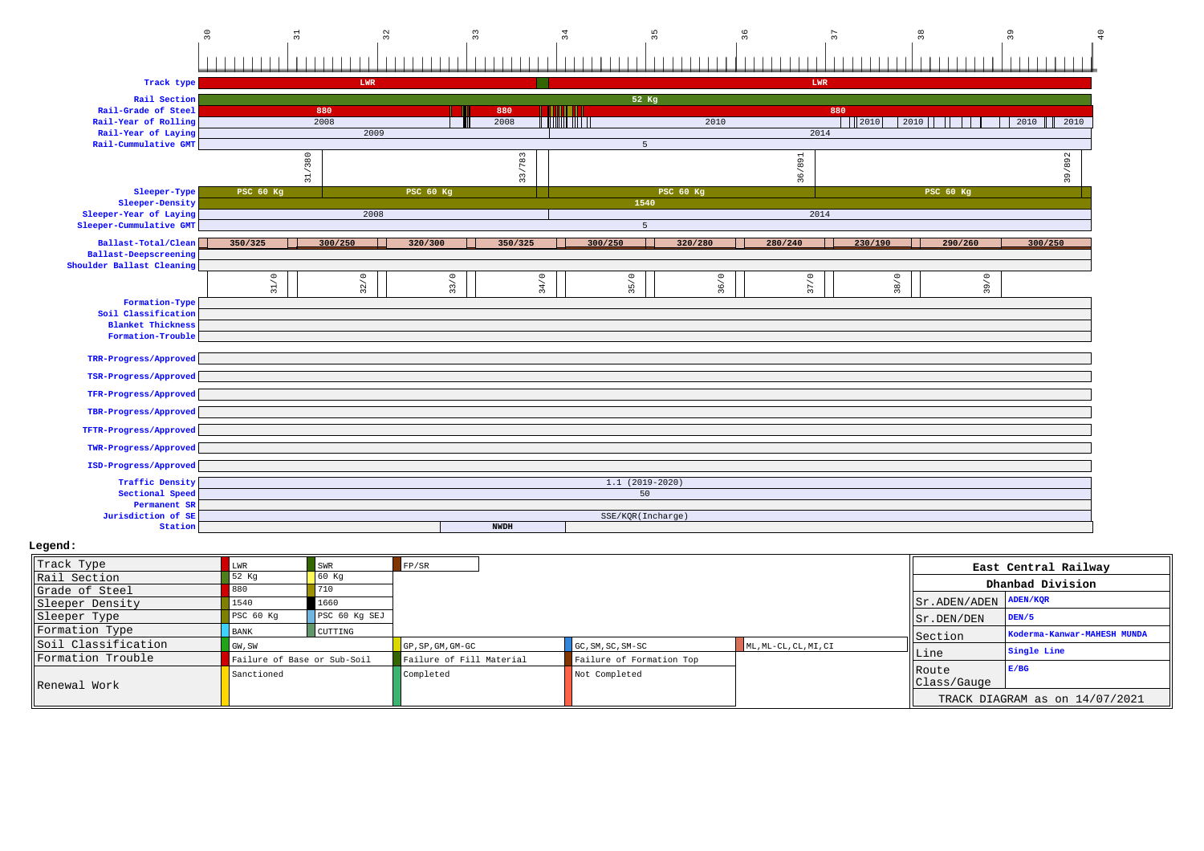|                                                                                                            | $\sqrt{3}0$<br>$\Xi$                                     | 32                  | $33\,$           | 34              | 35                       | 36      | $\overline{37}$                 | $38$             | $\mathsf{S}^{\mathsf{C}}$ | $\overline{10}$ |
|------------------------------------------------------------------------------------------------------------|----------------------------------------------------------|---------------------|------------------|-----------------|--------------------------|---------|---------------------------------|------------------|---------------------------|-----------------|
|                                                                                                            |                                                          |                     |                  |                 |                          |         |                                 |                  |                           |                 |
| Track type                                                                                                 |                                                          | LWR                 |                  |                 |                          |         | LWR                             |                  |                           |                 |
| Rail Section<br>Rail-Grade of Steel<br>Rail-Year of Rolling<br>Rail-Year of Laying<br>Rail-Cummulative GMT |                                                          | 880<br>2008<br>2009 | 880<br>2008      | n mini Titiki   | 52 Kg<br>5               | 2010    | 880<br>$\frac{1}{2010}$<br>2014 | 2010             | 2010<br>2010              |                 |
|                                                                                                            | 31/380                                                   |                     |                  | 3/783<br>$\sim$ |                          |         | 36/891                          |                  | 39/892                    |                 |
| Sleeper-Type<br>Sleeper-Density                                                                            | <b>PSC 60 Kg</b>                                         |                     | <b>PSC 60 Kg</b> |                 | <b>PSC 60 Kg</b><br>1540 |         |                                 | <b>PSC 60 Kg</b> |                           |                 |
| Sleeper-Year of Laying<br>Sleeper-Cummulative GMT                                                          |                                                          | 2008                |                  |                 | $\overline{5}$           |         | 2014                            |                  |                           |                 |
| Ballast-Total/Clean<br><b>Ballast-Deepscreening</b><br>Shoulder Ballast Cleaning                           | 350/325                                                  | 300/250             | 320/300          | 350/325         | 300/250                  | 320/280 | 280/240<br>230/190              | 290/260          | 300/250                   |                 |
|                                                                                                            | $\stackrel{\circ}{\phantom{}_{\sim}}$<br>$\overline{31}$ | 32/0                | 33/0             | 34/0            | 35/0                     | 36/0    | 37/0                            | 38/0             | 39/0                      |                 |
| Formation-Type<br>Soil Classification<br><b>Blanket Thickness</b><br>Formation-Trouble                     |                                                          |                     |                  |                 |                          |         |                                 |                  |                           |                 |
| TRR-Progress/Approved                                                                                      |                                                          |                     |                  |                 |                          |         |                                 |                  |                           |                 |
| TSR-Progress/Approved                                                                                      |                                                          |                     |                  |                 |                          |         |                                 |                  |                           |                 |
| TFR-Progress/Approved                                                                                      |                                                          |                     |                  |                 |                          |         |                                 |                  |                           |                 |
| TBR-Progress/Approved                                                                                      |                                                          |                     |                  |                 |                          |         |                                 |                  |                           |                 |
| TFTR-Progress/Approved                                                                                     |                                                          |                     |                  |                 |                          |         |                                 |                  |                           |                 |
| TWR-Progress/Approved                                                                                      |                                                          |                     |                  |                 |                          |         |                                 |                  |                           |                 |
| ISD-Progress/Approved                                                                                      |                                                          |                     |                  |                 |                          |         |                                 |                  |                           |                 |
| <b>Traffic Density</b><br>Sectional Speed<br>Permanent SR                                                  |                                                          |                     |                  |                 | $1.1(2019-2020)$<br>50   |         |                                 |                  |                           |                 |
| Jurisdiction of SE<br>Station                                                                              |                                                          |                     | <b>NWDH</b>      |                 | SSE/KQR(Incharge)        |         |                                 |                  |                           |                 |
|                                                                                                            |                                                          |                     |                  |                 |                          |         |                                 |                  |                           |                 |

| Track Type          | LWR                         | SWR            | FP/SR                    |                          |                       |                                                       | East Central Railway           |
|---------------------|-----------------------------|----------------|--------------------------|--------------------------|-----------------------|-------------------------------------------------------|--------------------------------|
| Rail Section        | 52 Kg                       | 60 Kq          |                          |                          |                       |                                                       | Dhanbad Division               |
| Grade of Steel      | 880                         |                |                          |                          |                       |                                                       |                                |
| Sleeper Density     | 1540                        | 1660           |                          |                          |                       | $ \text{Sr.ADEN}/\text{ADEN} \text{ADEN}/\text{KQR} $ |                                |
| Sleeper Type        | PSC 60 Kq                   | PSC 60 Kg SEJ  |                          |                          |                       | $ \text{Sr.DEN/DEN} $                                 | DEN/5                          |
| Formation Type      | <b>BANK</b>                 | <b>CUTTING</b> |                          |                          |                       | Section                                               | Koderma-Kanwar-MAHESH MUNDA    |
| Soil Classification | GW, SW                      |                | GP, SP, GM, GM-GC        | GC, SM, SC, SM-SC        | ML, ML-CL, CL, MI, CI |                                                       | Single Line                    |
| Formation Trouble   | Failure of Base or Sub-Soil |                | Failure of Fill Material | Failure of Formation Top |                       | Line                                                  |                                |
| Renewal Work        | Sanctioned                  |                | Completed                | Not Completed            |                       | Route<br>Class/Gauge                                  | E/BG                           |
|                     |                             |                |                          |                          |                       |                                                       | TRACK DIAGRAM as on 14/07/2021 |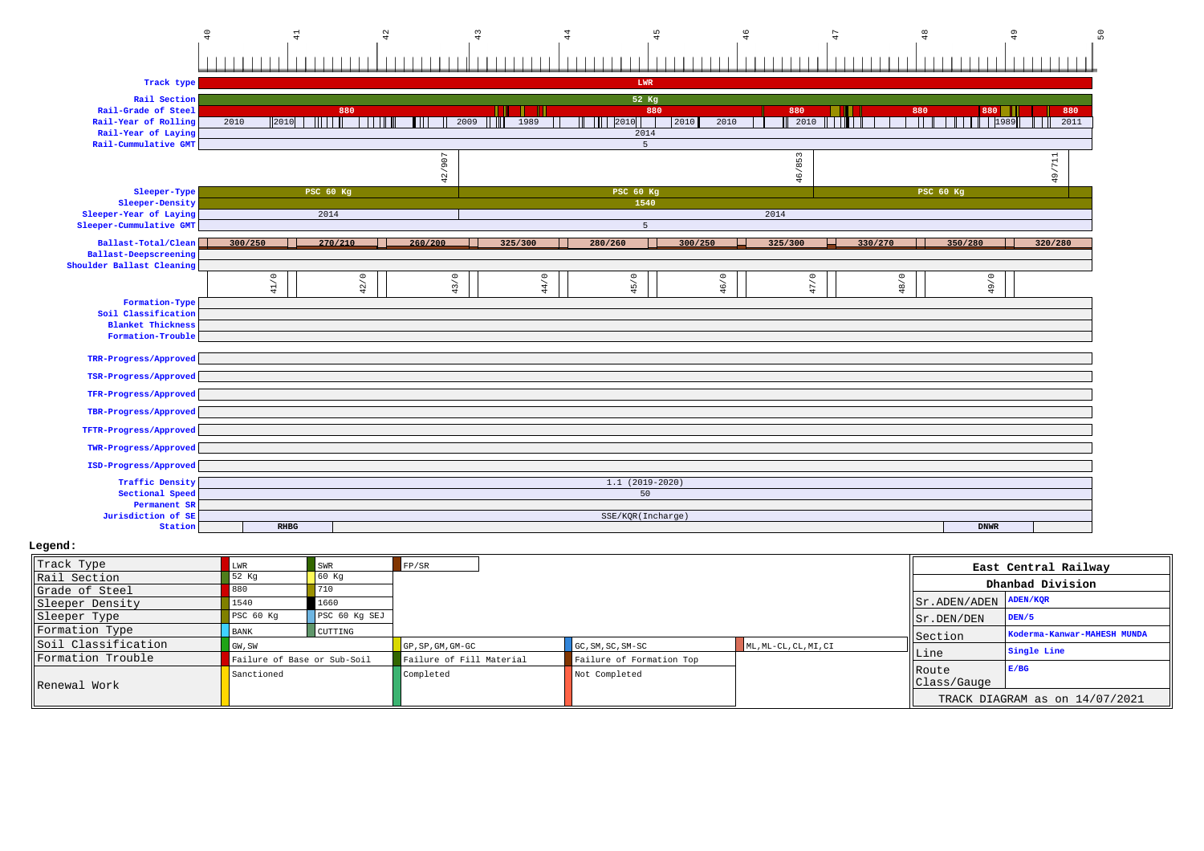

| Track Type          | LWR                         | SWR           | FP/SR                            |                          |                       |                                 | East Central Railway           |
|---------------------|-----------------------------|---------------|----------------------------------|--------------------------|-----------------------|---------------------------------|--------------------------------|
| Rail Section        | 52 Kg                       | 60 Kq         |                                  |                          |                       |                                 | Dhanbad Division               |
| Grade of Steel      | 880                         | 710           |                                  |                          |                       |                                 |                                |
| Sleeper Density     | 1540                        | 1660          |                                  |                          |                       | $ Sr $ . ADEN/ADEN $ $ ADEN/KQR |                                |
| Sleeper Type        | PSC 60 Kq                   | PSC 60 Kg SEJ |                                  |                          |                       | $\vert$ Sr. DEN/DEN             | DEN/5                          |
| Formation Type      | <b>BANK</b>                 | CUTTING       |                                  |                          |                       | Section                         | Koderma-Kanwar-MAHESH MUNDA    |
| Soil Classification | GW, SW                      |               | $GP$ , $SP$ , $GM$ , $GM$ - $GC$ | $GC, SM, SC, SM-SC$      | ML, ML-CL, CL, MI, CI |                                 | Single Line                    |
| Formation Trouble   | Failure of Base or Sub-Soil |               | Failure of Fill Material         | Failure of Formation Top |                       | Line                            |                                |
| Renewal Work        | Sanctioned                  |               | Completed                        | Not Completed            |                       | Route<br>Class/Gauge            | E/BG                           |
|                     |                             |               |                                  |                          |                       |                                 | TRACK DIAGRAM as on 14/07/2021 |

**RHBG DNWR**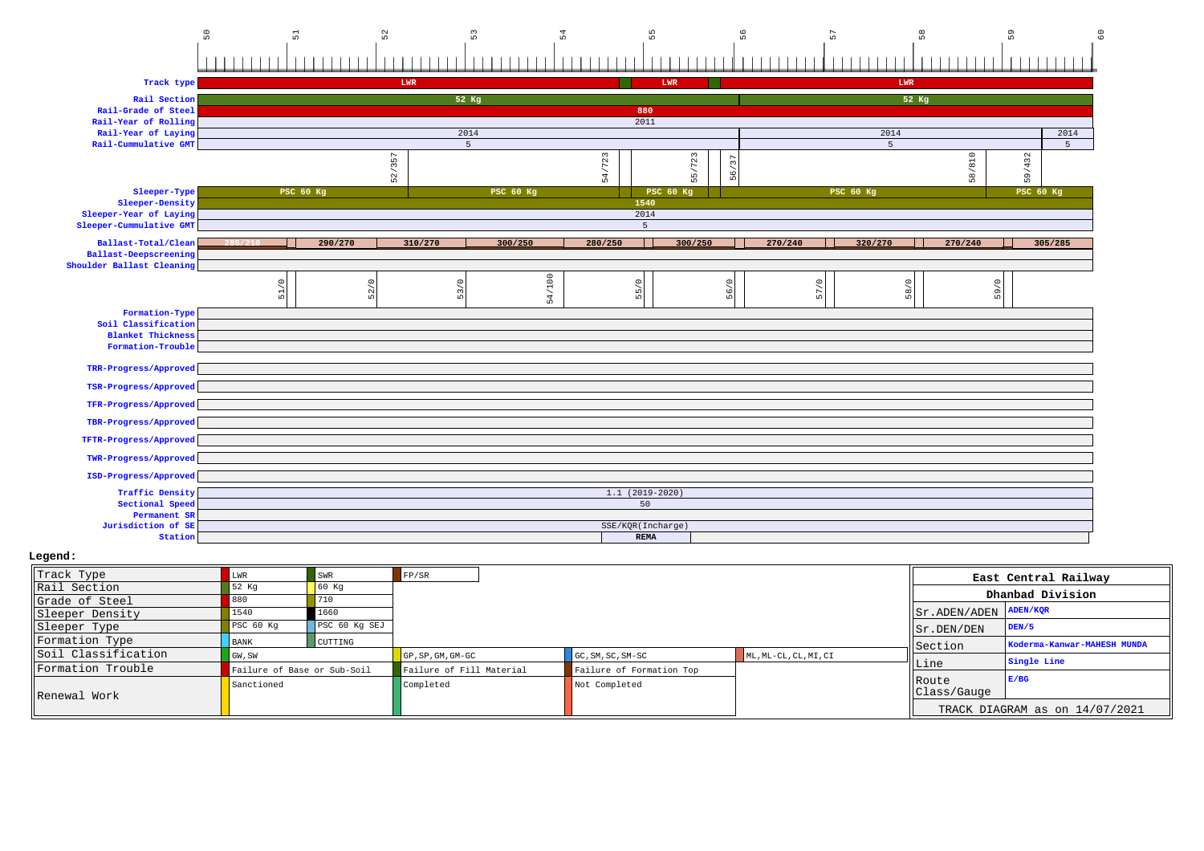

| Track Type          |                             | SWR           | FP/SR                            |                          |                       |                                  | East Central Railway           |
|---------------------|-----------------------------|---------------|----------------------------------|--------------------------|-----------------------|----------------------------------|--------------------------------|
| Rail Section        | 52 Kq                       | 60 Kq         |                                  |                          |                       |                                  | Dhanbad Division               |
| Grade of Steel      | 880                         | 710           |                                  |                          |                       |                                  |                                |
| Sleeper Density     | 1540                        | 1660          |                                  |                          |                       | $  $ Sr. ADEN/ADEN $  $ ADEN/KQR |                                |
| Sleeper Type        | PSC 60 Kq                   | PSC 60 Kg SEJ |                                  |                          |                       | Sr.DEN/DEN                       | DEN/5                          |
| Formation Type      | <b>BANK</b>                 | CUTTING       |                                  |                          |                       | Section                          | Koderma-Kanwar-MAHESH MUNDA    |
| Soil Classification | GW, SW                      |               | $GP$ , $SP$ , $GM$ , $GM$ - $GC$ | GC, SM, SC, SM-SC        | ML, ML-CL, CL, MI, CI |                                  | Single Line                    |
| Formation Trouble   | Failure of Base or Sub-Soil |               | Failure of Fill Material         | Failure of Formation Top |                       | lLine                            |                                |
| Renewal Work        | Sanctioned                  |               | Completed                        | Not Completed            |                       | <b>IRoute</b><br>Class/Gauge     | E/BG                           |
|                     |                             |               |                                  |                          |                       |                                  | TRACK DIAGRAM as on 14/07/2021 |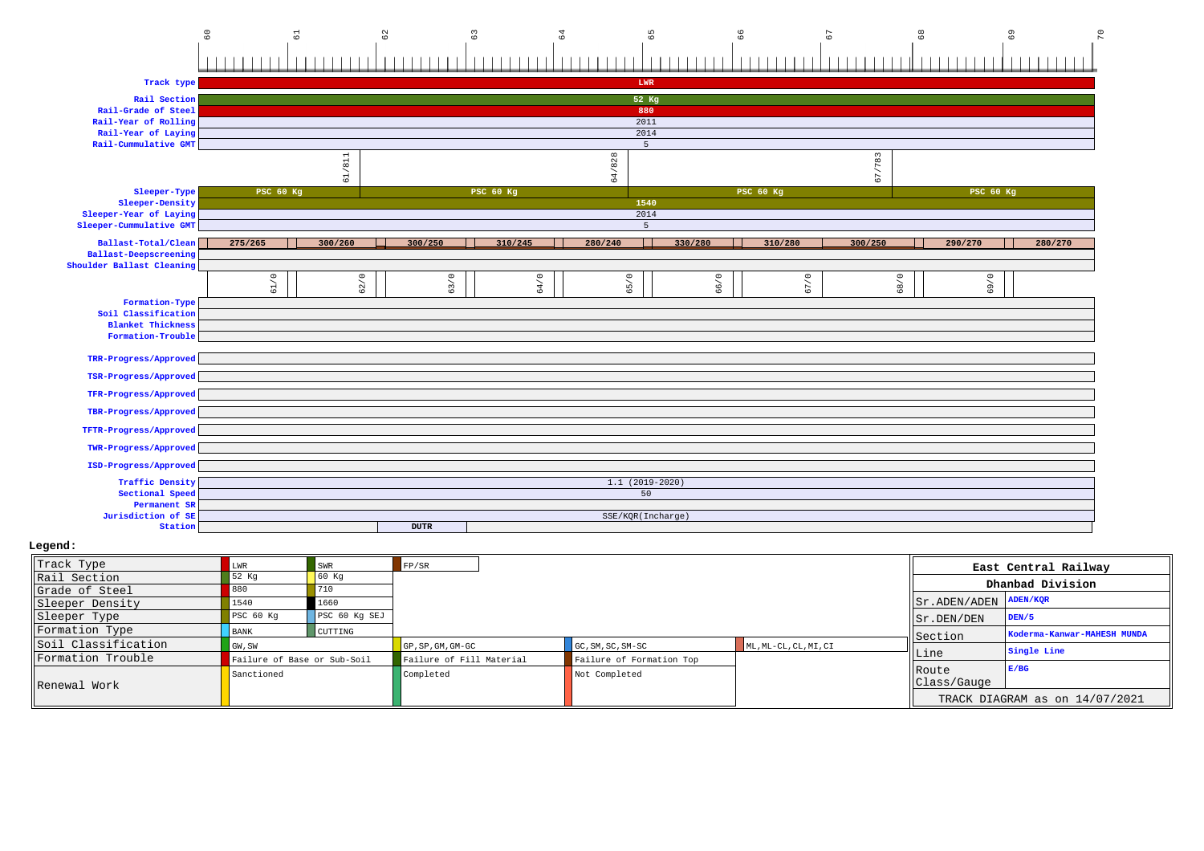# 60 61 62 63 64 65 66 67 68 69 70

| Track type                |                  |         |             |                  | LWR               |         |                  |         |                  |         |
|---------------------------|------------------|---------|-------------|------------------|-------------------|---------|------------------|---------|------------------|---------|
| Rail Section              |                  |         |             |                  | 52 Kg             |         |                  |         |                  |         |
| Rail-Grade of Steel       |                  |         |             |                  | 880               |         |                  |         |                  |         |
| Rail-Year of Rolling      |                  |         |             |                  | 2011              |         |                  |         |                  |         |
| Rail-Year of Laying       |                  |         |             |                  | 2014              |         |                  |         |                  |         |
| Rail-Cummulative GMT      |                  |         |             |                  | 5                 |         |                  |         |                  |         |
|                           |                  |         |             |                  |                   |         |                  |         |                  |         |
|                           |                  | 61/811  |             |                  | 64/828            |         |                  | 67/783  |                  |         |
| Sleeper-Type              | <b>PSC 60 Kg</b> |         |             | <b>PSC 60 Kg</b> |                   |         | <b>PSC 60 Kg</b> |         | <b>PSC 60 Kg</b> |         |
| Sleeper-Density           |                  |         |             |                  | 1540              |         |                  |         |                  |         |
| Sleeper-Year of Laying    |                  |         |             |                  | 2014              |         |                  |         |                  |         |
| Sleeper-Cummulative GMT   |                  |         |             |                  | 5                 |         |                  |         |                  |         |
| Ballast-Total/Clean       | 275/265          | 300/260 | 300/250     | 310/245          | 280/240           | 330/280 | 310/280          | 300/250 | 290/270          | 280/270 |
| Ballast-Deepscreening     |                  |         |             |                  |                   |         |                  |         |                  |         |
| Shoulder Ballast Cleaning |                  |         |             |                  |                   |         |                  |         |                  |         |
|                           | 61/0             | 62/0    | 63/0        | 64/0             | 65/0              | 66/0    | 67/0             | 68/0    | 69/0             |         |
| Formation-Type            |                  |         |             |                  |                   |         |                  |         |                  |         |
| Soil Classification       |                  |         |             |                  |                   |         |                  |         |                  |         |
| <b>Blanket Thickness</b>  |                  |         |             |                  |                   |         |                  |         |                  |         |
| Formation-Trouble         |                  |         |             |                  |                   |         |                  |         |                  |         |
|                           |                  |         |             |                  |                   |         |                  |         |                  |         |
| TRR-Progress/Approved     |                  |         |             |                  |                   |         |                  |         |                  |         |
| TSR-Progress/Approved     |                  |         |             |                  |                   |         |                  |         |                  |         |
| TFR-Progress/Approved     |                  |         |             |                  |                   |         |                  |         |                  |         |
| TBR-Progress/Approved     |                  |         |             |                  |                   |         |                  |         |                  |         |
| TFTR-Progress/Approved    |                  |         |             |                  |                   |         |                  |         |                  |         |
| TWR-Progress/Approved     |                  |         |             |                  |                   |         |                  |         |                  |         |
| ISD-Progress/Approved     |                  |         |             |                  |                   |         |                  |         |                  |         |
| <b>Traffic Density</b>    |                  |         |             |                  | $1.1(2019-2020)$  |         |                  |         |                  |         |
| Sectional Speed           |                  |         |             |                  | 50                |         |                  |         |                  |         |
| Permanent SR              |                  |         |             |                  |                   |         |                  |         |                  |         |
| Jurisdiction of SE        |                  |         |             |                  | SSE/KQR(Incharge) |         |                  |         |                  |         |
| Station                   |                  |         | <b>DUTR</b> |                  |                   |         |                  |         |                  |         |

| Track Type          |                             | SWR           | FP/SR                           |                          |                       |                                  | East Central Railway           |
|---------------------|-----------------------------|---------------|---------------------------------|--------------------------|-----------------------|----------------------------------|--------------------------------|
| Rail Section        | 52 Kg                       | 60 Kq         |                                 |                          |                       |                                  | Dhanbad Division               |
| Grade of Steel      |                             | 710           |                                 |                          |                       |                                  |                                |
| Sleeper Density     | 1540                        | 1660          |                                 |                          |                       | $  $ Sr. ADEN/ADEN $  $ ADEN/KOR |                                |
| Sleeper Type        | PSC 60 Kq                   | PSC 60 Kg SEJ |                                 |                          |                       | Sr.DEN/DEN                       | DEN/5                          |
| Formation Type      | <b>BANK</b>                 | CUTTING       |                                 |                          |                       | Section                          | Koderma-Kanwar-MAHESH MUNDA    |
| Soil Classification | GW, SW                      |               | $GP$ , $SP$ , $GM$ , $GM$ $-GC$ | $GC, SM, SC, SM-SC$      | ML, ML-CL, CL, MI, CI |                                  | Single Line                    |
| Formation Trouble   | Failure of Base or Sub-Soil |               | Failure of Fill Material        | Failure of Formation Top |                       | Line                             |                                |
|                     | Sanctioned                  |               | Completed                       | Not Completed            |                       | Route<br>Class/Gauge             | E/BG                           |
| Renewal Work        |                             |               |                                 |                          |                       |                                  | TRACK DIAGRAM as on 14/07/2021 |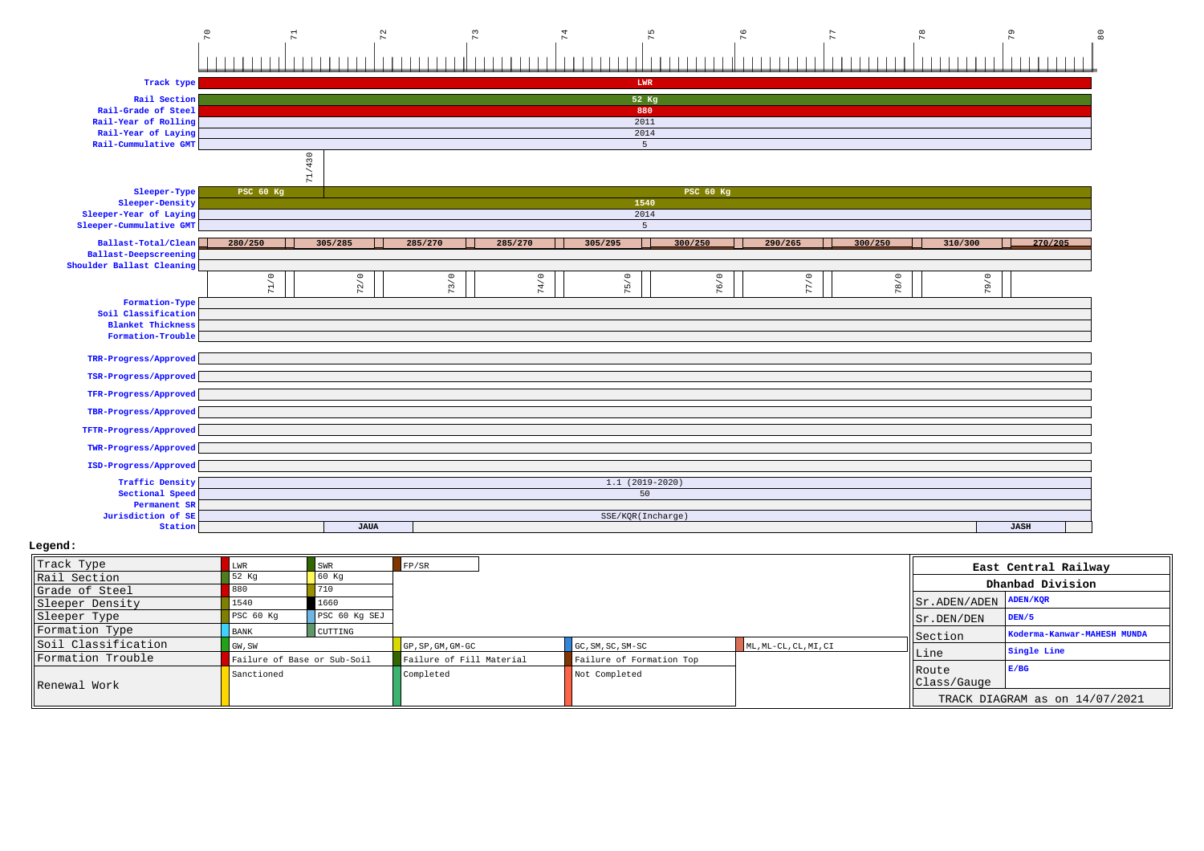### 70 70 71 72 72 73 74 75 75 75 76 76

| Track type                   |           |             |         |         | LWR               |                  |         |         |         |             |  |  |
|------------------------------|-----------|-------------|---------|---------|-------------------|------------------|---------|---------|---------|-------------|--|--|
| Rail Section                 |           |             |         |         | 52 Kg             |                  |         |         |         |             |  |  |
| Rail-Grade of Steel          |           |             |         |         | 880               |                  |         |         |         |             |  |  |
| Rail-Year of Rolling         |           |             |         |         | 2011              |                  |         |         |         |             |  |  |
| Rail-Year of Laying          |           | 2014        |         |         |                   |                  |         |         |         |             |  |  |
| Rail-Cummulative GMT         |           |             |         |         | 5                 |                  |         |         |         |             |  |  |
|                              |           |             |         |         |                   |                  |         |         |         |             |  |  |
|                              | 71/430    |             |         |         |                   |                  |         |         |         |             |  |  |
| Sleeper-Type                 | PSC 60 Kg |             |         |         |                   | <b>PSC 60 Kg</b> |         |         |         |             |  |  |
| Sleeper-Density              |           |             |         |         | 1540              |                  |         |         |         |             |  |  |
| Sleeper-Year of Laying       |           |             |         |         | 2014              |                  |         |         |         |             |  |  |
| Sleeper-Cummulative GMT      |           |             |         |         | 5                 |                  |         |         |         |             |  |  |
| Ballast-Total/Clean          | 280/250   | 305/285     | 285/270 | 285/270 | 305/295           | 300/250          | 290/265 | 300/250 | 310/300 | 270/205     |  |  |
| <b>Ballast-Deepscreening</b> |           |             |         |         |                   |                  |         |         |         |             |  |  |
| Shoulder Ballast Cleaning    |           |             |         |         |                   |                  |         |         |         |             |  |  |
|                              | 71/0      | 72/0        | 73/0    | 74/0    | 75/0              | 76/0             | 77/0    | 78/0    | 79/0    |             |  |  |
|                              |           |             |         |         |                   |                  |         |         |         |             |  |  |
| Formation-Type               |           |             |         |         |                   |                  |         |         |         |             |  |  |
| Soil Classification          |           |             |         |         |                   |                  |         |         |         |             |  |  |
| <b>Blanket Thickness</b>     |           |             |         |         |                   |                  |         |         |         |             |  |  |
| Formation-Trouble            |           |             |         |         |                   |                  |         |         |         |             |  |  |
| TRR-Progress/Approved        |           |             |         |         |                   |                  |         |         |         |             |  |  |
| TSR-Progress/Approved        |           |             |         |         |                   |                  |         |         |         |             |  |  |
| TFR-Progress/Approved        |           |             |         |         |                   |                  |         |         |         |             |  |  |
|                              |           |             |         |         |                   |                  |         |         |         |             |  |  |
| TBR-Progress/Approved        |           |             |         |         |                   |                  |         |         |         |             |  |  |
| TFTR-Progress/Approved       |           |             |         |         |                   |                  |         |         |         |             |  |  |
| TWR-Progress/Approved        |           |             |         |         |                   |                  |         |         |         |             |  |  |
| ISD-Progress/Approved        |           |             |         |         |                   |                  |         |         |         |             |  |  |
| <b>Traffic Density</b>       |           |             |         |         | $1.1(2019-2020)$  |                  |         |         |         |             |  |  |
| Sectional Speed              |           |             |         |         | 50                |                  |         |         |         |             |  |  |
| Permanent SR                 |           |             |         |         |                   |                  |         |         |         |             |  |  |
| Jurisdiction of SE           |           |             |         |         | SSE/KQR(Incharge) |                  |         |         |         |             |  |  |
| Station                      |           | <b>JAUA</b> |         |         |                   |                  |         |         |         | <b>JASH</b> |  |  |

| Track Type          |                             | SWR           | FP/SR                            |                          |                       |                                                       | East Central Railway           |
|---------------------|-----------------------------|---------------|----------------------------------|--------------------------|-----------------------|-------------------------------------------------------|--------------------------------|
| Rail Section        | 52 Kg                       | 60 Kq         |                                  |                          |                       |                                                       | Dhanbad Division               |
| Grade of Steel      |                             | 710           |                                  |                          |                       |                                                       |                                |
| Sleeper Density     | 1540                        | 1660          |                                  |                          |                       | $ \text{Sr.ADEN}/\text{ADEN} \text{ADEN}/\text{KQR} $ |                                |
| Sleeper Type        | PSC <sub>60 Kq</sub>        | PSC 60 Kg SEJ |                                  |                          |                       | $\parallel$ Sr. DEN/DEN                               | DEN/5                          |
| Formation Type      | <b>BANK</b>                 | CUTTING       |                                  |                          |                       | Section                                               | Koderma-Kanwar-MAHESH MUNDA    |
| Soil Classification | GW, SW                      |               | $GP$ , $SP$ , $GM$ , $GM$ - $GC$ | $GC, SM, SC, SM-SC$      | ML, ML-CL, CL, MI, CI |                                                       | Single Line                    |
| Formation Trouble   | Failure of Base or Sub-Soil |               | Failure of Fill Material         | Failure of Formation Top |                       | Line                                                  |                                |
| Renewal Work        | Sanctioned                  |               | Completed                        | Not Completed            |                       | <b>IRoute</b><br>Class/Gauge                          | E/BG                           |
|                     |                             |               |                                  |                          |                       |                                                       | TRACK DIAGRAM as on 14/07/2021 |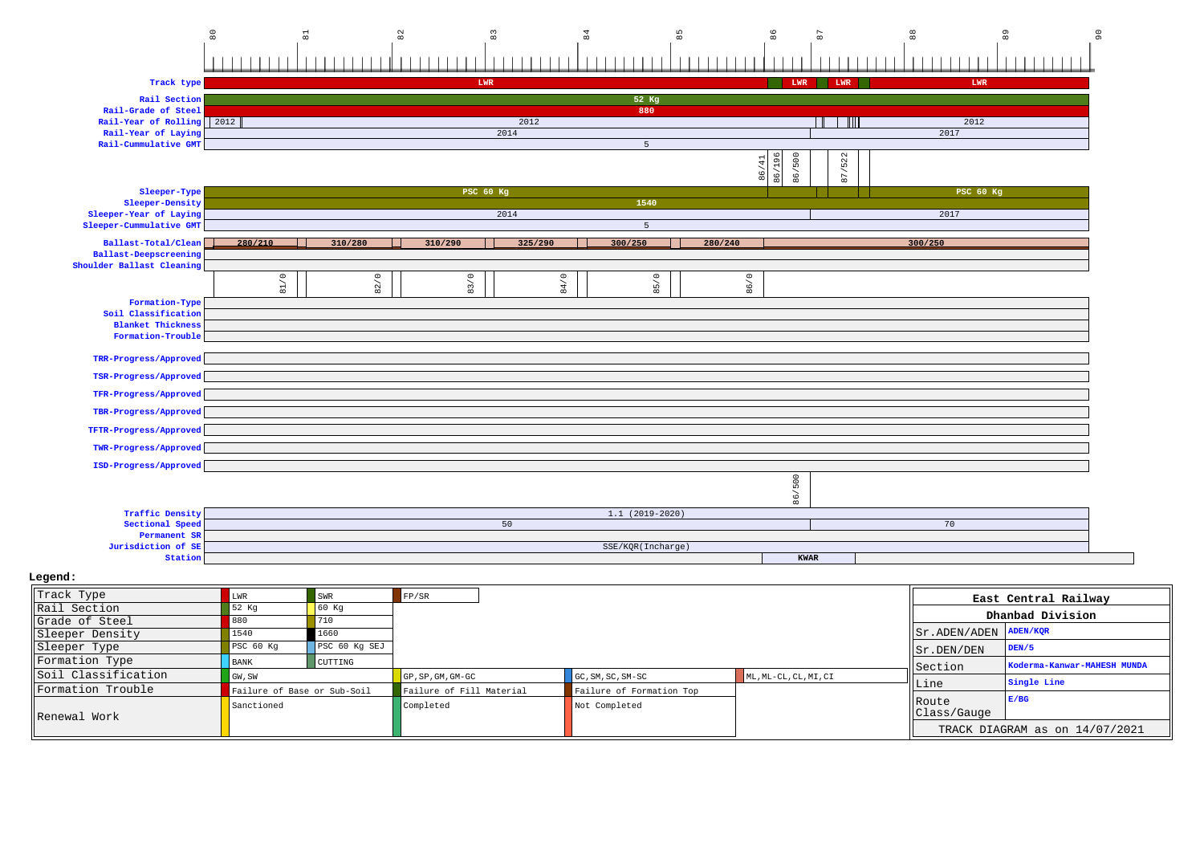| 80                                                 |                             | $\overline{a}$ | 82                       | 83        | $\overline{a}$ | 85                                                               |         | 86                                  |             |                  | 89                          | 90 |
|----------------------------------------------------|-----------------------------|----------------|--------------------------|-----------|----------------|------------------------------------------------------------------|---------|-------------------------------------|-------------|------------------|-----------------------------|----|
|                                                    | $\Box$                      |                |                          |           |                |                                                                  |         |                                     |             |                  |                             |    |
|                                                    |                             |                |                          |           |                |                                                                  |         |                                     |             |                  |                             |    |
| Track type                                         |                             |                |                          | LWR       |                |                                                                  |         | LWR                                 | LWR         | LWR              |                             |    |
| Rail Section                                       |                             |                |                          |           |                | 52 Kg                                                            |         |                                     |             |                  |                             |    |
| Rail-Grade of Steel<br>Rail-Year of Rolling 2012   |                             |                |                          | 2012      |                | 880                                                              |         |                                     | ---         | 2012             |                             |    |
| Rail-Year of Laying                                |                             |                |                          | 2014      |                |                                                                  |         |                                     |             | 2017             |                             |    |
| Rail-Cummulative GMT                               |                             |                |                          |           |                | $\overline{5}$                                                   |         |                                     |             |                  |                             |    |
|                                                    |                             |                |                          |           |                |                                                                  |         |                                     | /522        |                  |                             |    |
|                                                    |                             |                |                          |           |                |                                                                  |         | 86/500<br>86/196<br>8               | 87.         |                  |                             |    |
| Sleeper-Type                                       |                             |                |                          | PSC 60 Kg |                |                                                                  |         |                                     |             | <b>PSC 60 Kg</b> |                             |    |
| Sleeper-Density                                    |                             |                |                          |           |                | 1540                                                             |         |                                     |             |                  |                             |    |
| Sleeper-Year of Laying                             |                             |                |                          | 2014      |                |                                                                  |         |                                     |             | 2017             |                             |    |
| Sleeper-Cummulative GMT                            |                             |                |                          |           |                | 5 <sub>1</sub>                                                   |         |                                     |             |                  |                             |    |
| Ballast-Total/Clean                                | 280/210                     | 310/280        | 310/290                  | 325/290   |                | 300/250                                                          | 280/240 |                                     |             | 300/250          |                             |    |
| Ballast-Deepscreening<br>Shoulder Ballast Cleaning |                             |                |                          |           |                |                                                                  |         |                                     |             |                  |                             |    |
|                                                    | 81/0                        |                |                          |           |                |                                                                  |         |                                     |             |                  |                             |    |
|                                                    |                             | 82/0           | 83/0                     |           | 84/0           | 85/0                                                             |         | 86/0                                |             |                  |                             |    |
| Formation-Type                                     |                             |                |                          |           |                |                                                                  |         |                                     |             |                  |                             |    |
| Soil Classification<br><b>Blanket Thickness</b>    |                             |                |                          |           |                |                                                                  |         |                                     |             |                  |                             |    |
| Formation-Trouble                                  |                             |                |                          |           |                |                                                                  |         |                                     |             |                  |                             |    |
|                                                    |                             |                |                          |           |                |                                                                  |         |                                     |             |                  |                             |    |
| TRR-Progress/Approved                              |                             |                |                          |           |                |                                                                  |         |                                     |             |                  |                             |    |
| TSR-Progress/Approved                              |                             |                |                          |           |                |                                                                  |         |                                     |             |                  |                             |    |
| TFR-Progress/Approved                              |                             |                |                          |           |                |                                                                  |         |                                     |             |                  |                             |    |
| TBR-Progress/Approved                              |                             |                |                          |           |                |                                                                  |         |                                     |             |                  |                             |    |
|                                                    |                             |                |                          |           |                |                                                                  |         |                                     |             |                  |                             |    |
| TFTR-Progress/Approved                             |                             |                |                          |           |                |                                                                  |         |                                     |             |                  |                             |    |
| TWR-Progress/Approved                              |                             |                |                          |           |                |                                                                  |         |                                     |             |                  |                             |    |
| ISD-Progress/Approved                              |                             |                |                          |           |                |                                                                  |         |                                     |             |                  |                             |    |
|                                                    |                             |                |                          |           |                |                                                                  |         | 86/500                              |             |                  |                             |    |
|                                                    |                             |                |                          |           |                |                                                                  |         |                                     |             |                  |                             |    |
| <b>Traffic Density</b>                             |                             |                |                          |           |                | $1.1(2019-2020)$                                                 |         |                                     |             |                  |                             |    |
| Sectional Speed                                    |                             |                |                          | 50        |                |                                                                  |         |                                     |             | 70               |                             |    |
| Permanent SR                                       |                             |                |                          |           |                |                                                                  |         |                                     |             |                  |                             |    |
| Jurisdiction of SE<br>Station                      |                             |                |                          |           |                | SSE/KQR(Incharge)                                                |         |                                     | <b>KWAR</b> |                  |                             |    |
|                                                    |                             |                |                          |           |                |                                                                  |         |                                     |             |                  |                             |    |
| Legend:                                            |                             |                |                          |           |                |                                                                  |         |                                     |             |                  |                             |    |
| Track Type                                         | ${\tt LWR}$                 | SWR            | FP/SR                    |           |                |                                                                  |         |                                     |             |                  | East Central Railway        |    |
| Rail Section                                       | 52 Kg                       | $60$ Kg        |                          |           |                |                                                                  |         |                                     |             |                  | Dhanbad Division            |    |
| Grade of Steel                                     | 880                         | 710            |                          |           |                |                                                                  |         |                                     |             |                  | <b>ADEN/KQR</b>             |    |
| Sleeper Density                                    | 1540                        | 1660           |                          |           |                |                                                                  |         |                                     |             | Sr.ADEN/ADEN     |                             |    |
| Sleeper Type                                       | $PSC$ 60 $Kg$               | PSC 60 Kg SEJ  |                          |           |                |                                                                  |         |                                     |             | Sr.DEN/DEN       | DEN/5                       |    |
| Formation Type<br>Soil Classification              | <b>BANK</b>                 | CUTTING        |                          |           |                |                                                                  |         |                                     |             | Section          | Koderma-Kanwar-MAHESH MUNDA |    |
|                                                    | GW, SW                      |                | GP, SP, GM, GM-GC        |           |                | $\texttt{GC}$ , $\texttt{SM}$ , $\texttt{SC}$ , $\texttt{SM-SC}$ |         | $ML$ , $ML-CL$ , $CL$ , $ML$ , $CL$ |             | Line             | Single Line                 |    |
| Formation Trouble                                  | Failure of Base or Sub-Soil |                | Failure of Fill Material |           |                | Failure of Formation Top                                         |         |                                     |             |                  |                             |    |

Not Completed

RouteClass/Gauge **E/BG**

TRACK DIAGRAM as on 14/07/2021

Renewal Work

Failure of Base or Sub-Soil Failure of Failure of Formation Completed

Sanctioned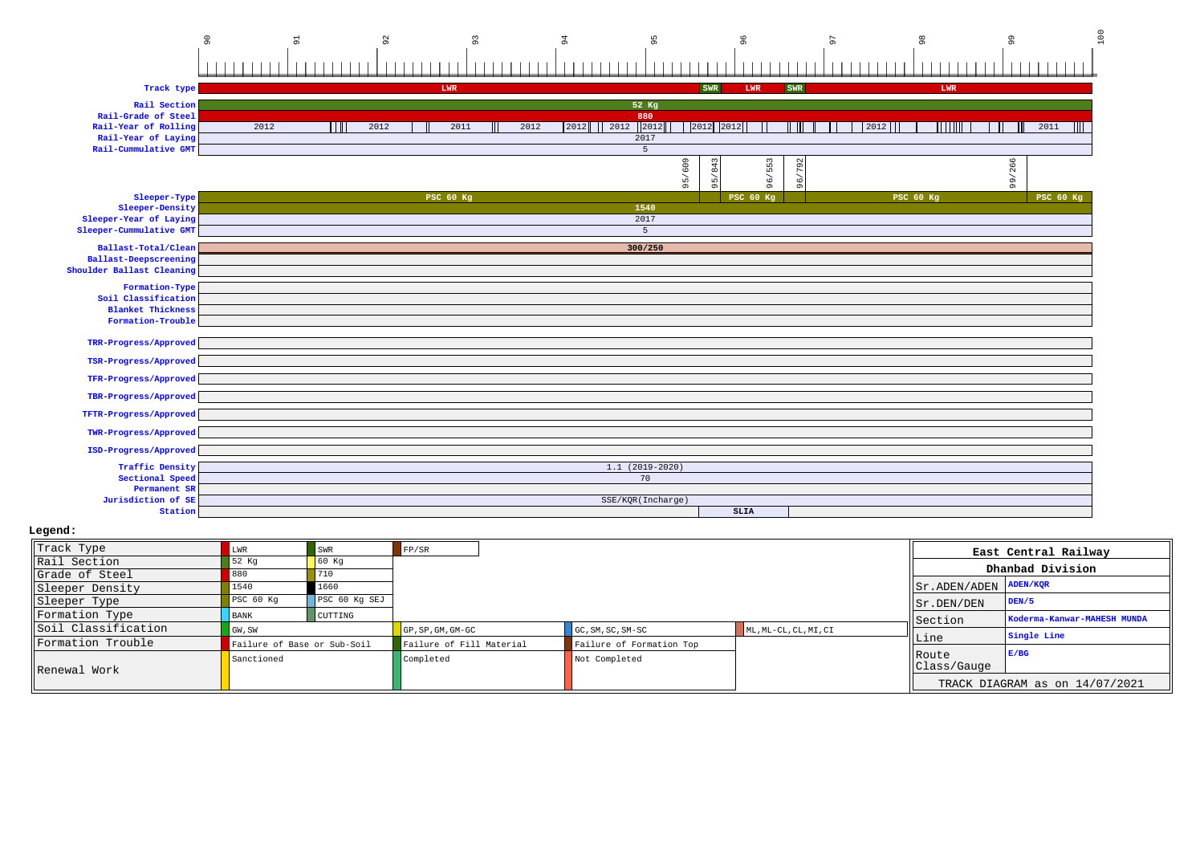|                                              | $\circ$<br>$\overline{91}$ | $\overline{9}$ | $\sqrt{9}$       | 94           | 95                | 96               | 57     | $_{98}$      | $\mathsf{S}^{\mathsf{G}}$ | 100       |
|----------------------------------------------|----------------------------|----------------|------------------|--------------|-------------------|------------------|--------|--------------|---------------------------|-----------|
|                                              |                            |                |                  |              |                   |                  |        |              |                           |           |
|                                              |                            |                |                  |              |                   |                  |        |              |                           |           |
| Track type                                   |                            |                | LWR              |              |                   | SWR<br>LWR       | SWR    | LWR          |                           |           |
| Rail Section                                 |                            |                |                  |              | 52 Kg             |                  |        |              |                           |           |
| Rail-Grade of Steel                          |                            |                |                  |              | 880               |                  |        |              |                           |           |
| Rail-Year of Rolling                         | 2012                       | 2012           | 2011             | 2012<br>2012 | 12012<br>2012     | 2012 2012        |        | TTTI<br>2012 |                           | 2011      |
| Rail-Year of Laying                          |                            |                |                  |              | 2017              |                  |        |              |                           |           |
| Rail-Cummulative GMT                         |                            |                |                  |              | 5                 |                  |        |              |                           |           |
|                                              |                            |                |                  |              | 609               | 553<br>843       | 96/792 |              | 99/266                    |           |
|                                              |                            |                |                  |              | 95/               | 96/<br>56        |        |              |                           |           |
| Sleeper-Type                                 |                            |                | <b>PSC 60 Kg</b> |              |                   | <b>PSC 60 Kg</b> |        | PSC 60 Kg    |                           | PSC 60 Kg |
| Sleeper-Density<br>Sleeper-Year of Laying    |                            |                |                  |              | 1540<br>2017      |                  |        |              |                           |           |
| Sleeper-Cummulative GMT                      |                            |                |                  |              | 5                 |                  |        |              |                           |           |
|                                              |                            |                |                  |              |                   |                  |        |              |                           |           |
| Ballast-Total/Clean<br>Ballast-Deepscreening |                            |                |                  |              | 300/250           |                  |        |              |                           |           |
| Shoulder Ballast Cleaning                    |                            |                |                  |              |                   |                  |        |              |                           |           |
| Formation-Type                               |                            |                |                  |              |                   |                  |        |              |                           |           |
| Soil Classification                          |                            |                |                  |              |                   |                  |        |              |                           |           |
| <b>Blanket Thickness</b>                     |                            |                |                  |              |                   |                  |        |              |                           |           |
| Formation-Trouble                            |                            |                |                  |              |                   |                  |        |              |                           |           |
| TRR-Progress/Approved                        |                            |                |                  |              |                   |                  |        |              |                           |           |
| TSR-Progress/Approved                        |                            |                |                  |              |                   |                  |        |              |                           |           |
|                                              |                            |                |                  |              |                   |                  |        |              |                           |           |
| TFR-Progress/Approved                        |                            |                |                  |              |                   |                  |        |              |                           |           |
| TBR-Progress/Approved                        |                            |                |                  |              |                   |                  |        |              |                           |           |
| TFTR-Progress/Approved                       |                            |                |                  |              |                   |                  |        |              |                           |           |
| TWR-Progress/Approved                        |                            |                |                  |              |                   |                  |        |              |                           |           |
| ISD-Progress/Approved                        |                            |                |                  |              |                   |                  |        |              |                           |           |
| <b>Traffic Density</b>                       |                            |                |                  |              | $1.1(2019-2020)$  |                  |        |              |                           |           |
| Sectional Speed                              |                            |                |                  |              | 70                |                  |        |              |                           |           |
| Permanent SR                                 |                            |                |                  |              |                   |                  |        |              |                           |           |
| Jurisdiction of SE<br>Station                |                            |                |                  |              | SSE/KQR(Incharge) | <b>SLIA</b>      |        |              |                           |           |
|                                              |                            |                |                  |              |                   |                  |        |              |                           |           |

| Track Type          | ∟WR.                        | SWR                | FP/SR                    |                          |                       |                                  | East Central Railway           |
|---------------------|-----------------------------|--------------------|--------------------------|--------------------------|-----------------------|----------------------------------|--------------------------------|
| Rail Section        | 52 Kg                       | $\overline{60}$ Kq |                          |                          |                       |                                  |                                |
| Grade of Steel      |                             | 710                |                          |                          |                       |                                  | Dhanbad Division               |
| Sleeper Density     | 1540                        | 1660               |                          |                          |                       | $  $ Sr. ADEN/ADEN $  $ ADEN/KQR |                                |
| Sleeper Type        | PSC <sub>60 Kq</sub>        | PSC 60 Kg SEJ      |                          |                          |                       | $\vert$ Sr. DEN/DEN              | DEN/5                          |
| Formation Type      | BANK                        | CUTTING            |                          |                          |                       | Section                          | Koderma-Kanwar-MAHESH MUNDA    |
| Soil Classification | GW, SW                      |                    | GP, SP, GM, GM-GC        | GC, SM, SC, SM-SC        | ML, ML-CL, CL, MI, CI |                                  | Single Line                    |
| Formation Trouble   | Failure of Base or Sub-Soil |                    | Failure of Fill Material | Failure of Formation Top |                       | Line                             |                                |
|                     | Sanctioned                  |                    | Completed                | Not Completed            |                       | <b>IRoute</b><br>Class/Gauge     | E/BG                           |
| Renewal Work        |                             |                    |                          |                          |                       |                                  | TRACK DIAGRAM as on 14/07/2021 |